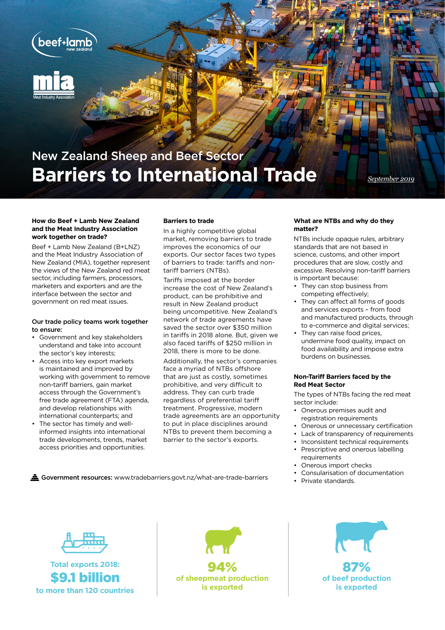

# New Zealand Sheep and Beef Sector **Barriers to International Trade** *September 2019*

#### **How do Beef + Lamb New Zealand and the Meat Industry Association work together on trade?**

Beef + Lamb New Zealand (B+LNZ) and the Meat Industry Association of New Zealand (MIA), together represent the views of the New Zealand red meat sector, including farmers, processors, marketers and exporters and are the interface between the sector and government on red meat issues.

### Our trade policy teams work together to ensure:

- Government and key stakeholders understand and take into account the sector's key interests;
- Access into key export markets is maintained and improved by working with government to remove non-tariff barriers, gain market access through the Government's free trade agreement (FTA) agenda, and develop relationships with international counterparts; and
- The sector has timely and wellinformed insights into international trade developments, trends, market access priorities and opportunities.

## **Barriers to trade**

In a highly competitive global market, removing barriers to trade improves the economics of our exports. Our sector faces two types of barriers to trade: tariffs and nontariff barriers (NTBs).

Tariffs imposed at the border increase the cost of New Zealand's product, can be prohibitive and result in New Zealand product being uncompetitive. New Zealand's network of trade agreements have saved the sector over \$350 million in tariffs in 2018 alone. But, given we also faced tariffs of \$250 million in 2018, there is more to be done.

Additionally, the sector's companies face a myriad of NTBs offshore that are just as costly, sometimes prohibitive, and very difficult to address. They can curb trade regardless of preferential tariff treatment. Progressive, modern trade agreements are an opportunity to put in place disciplines around NTBs to prevent them becoming a barrier to the sector's exports.

#### **What are NTBs and why do they matter?**

NTBs include opaque rules, arbitrary standards that are not based in science, customs, and other import procedures that are slow, costly and excessive. Resolving non-tariff barriers is important because:

- They can stop business from competing effectively;
- They can affect all forms of goods and services exports – from food and manufactured products, through to e-commerce and digital services;
- They can raise food prices, undermine food quality, impact on food availability and impose extra burdens on businesses.

### **Non-Tariff Barriers faced by the Red Meat Sector**

The types of NTBs facing the red meat sector include:

- Onerous premises audit and registration requirements
- Onerous or unnecessary certification
- Lack of transparency of requirements
- Inconsistent technical requirements
- Prescriptive and onerous labelling requirements
- Onerous import checks
- Consularisation of documentation
- 

Government resources: www.tradebarriers.govt.nz/what-are-trade-barriers expansion of the standards.



**Total exports 2018:**  \$9.1 billion **to more than 120 countries**





**of beef production is exported**